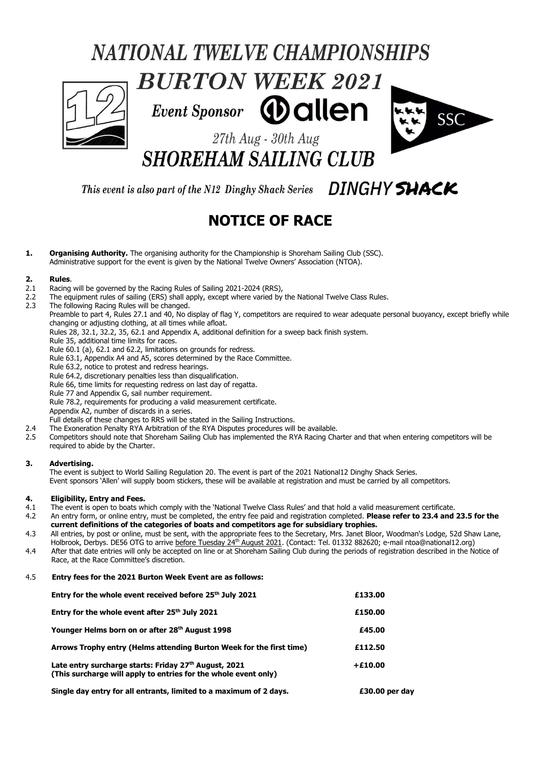# **NATIONAL TWELVE CHAMPIONSHIPS**



**Event Sponsor** *<b>D* allen



27th Aug - 30th Aug **SHOREHAM SAILING CLUB** 

This event is also part of the N12 Dinghy Shack Series  $\Box$  DINGHY SHACK

# **NOTICE OF RACE**

**1. Organising Authority.** The organising authority for the Championship is Shoreham Sailing Club (SSC). Administrative support for the event is given by the National Twelve Owners' Association (NTOA).

#### **2. Rules**.

- 2.1 Racing will be governed by the Racing Rules of Sailing 2021-2024 (RRS),
- 2.2 The equipment rules of sailing (ERS) shall apply, except where varied by the National Twelve Class Rules.<br>2.3 The following Racing Rules will be changed.
- The following Racing Rules will be changed.
- Preamble to part 4, Rules 27.1 and 40, No display of flag Y, competitors are required to wear adequate personal buoyancy, except briefly while changing or adjusting clothing, at all times while afloat.
	- Rules 28, 32.1, 32.2, 35, 62.1 and Appendix A, additional definition for a sweep back finish system.
	- Rule 35, additional time limits for races.

Rule 60.1 (a), 62.1 and 62.2, limitations on grounds for redress.

- Rule 63.1, Appendix A4 and A5, scores determined by the Race Committee.
- Rule 63.2, notice to protest and redress hearings.
- Rule 64.2, discretionary penalties less than disqualification.

Rule 66, time limits for requesting redress on last day of regatta.

Rule 77 and Appendix G, sail number requirement.

Rule 78.2, requirements for producing a valid measurement certificate.

Appendix A2, number of discards in a series.

Full details of these changes to RRS will be stated in the Sailing Instructions.

- 2.4 The Exoneration Penalty RYA Arbitration of the RYA Disputes procedures will be available.
- 2.5 Competitors should note that Shoreham Sailing Club has implemented the RYA Racing Charter and that when entering competitors will be required to abide by the Charter.

#### **3. Advertising.**

The event is subject to World Sailing Regulation 20. The event is part of the 2021 National12 Dinghy Shack Series. Event sponsors 'Allen' will supply boom stickers, these will be available at registration and must be carried by all competitors.

#### **4. Eligibility, Entry and Fees.**

- 4.1 The event is open to boats which comply with the 'National Twelve Class Rules' and that hold a valid measurement certificate.
- 4.2 An entry form, or online entry, must be completed, the entry fee paid and registration completed. **Please refer to 23.4 and 23.5 for the current definitions of the categories of boats and competitors age for subsidiary trophies.**
- 4.3 All entries, by post or online, must be sent, with the appropriate fees to the Secretary, Mrs. Janet Bloor, Woodman's Lodge, 52d Shaw Lane, Holbrook, Derbys. DE56 OTG to arrive <u>before Tuesday 24<sup>th</sup> August 2021</u>. (Contact: Tel. 01332 882620; e-mail ntoa@national12.org)
- 4.4 After that date entries will only be accepted on line or at Shoreham Sailing Club during the periods of registration described in the Notice of Race, at the Race Committee's discretion.

#### 4.5 **Entry fees for the 2021 Burton Week Event are as follows:**

| Entry for the whole event received before 25 <sup>th</sup> July 2021                                                     | £133.00        |
|--------------------------------------------------------------------------------------------------------------------------|----------------|
| Entry for the whole event after 25 <sup>th</sup> July 2021                                                               | £150.00        |
| Younger Helms born on or after 28th August 1998                                                                          | £45.00         |
| Arrows Trophy entry (Helms attending Burton Week for the first time)                                                     | £112.50        |
| Late entry surcharge starts: Friday 27th August, 2021<br>(This surcharge will apply to entries for the whole event only) | $+£10.00$      |
| Single day entry for all entrants, limited to a maximum of 2 days.                                                       | £30.00 per day |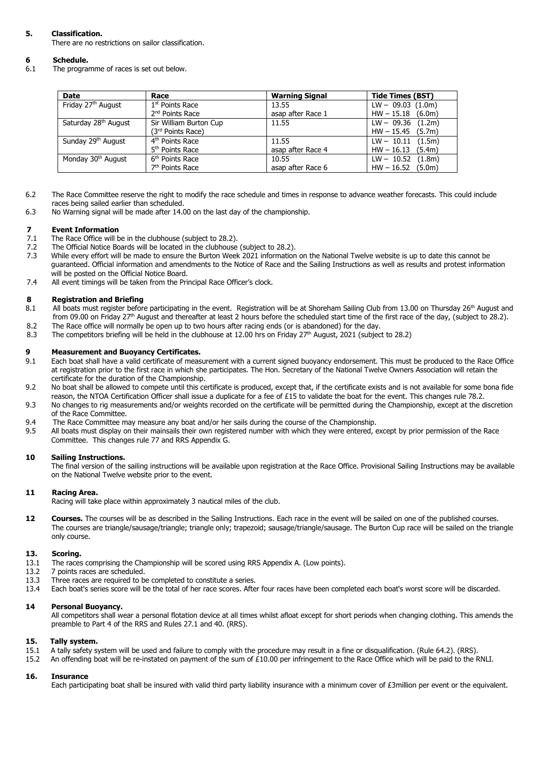### **5. Classification.**

There are no restrictions on sailor classification.

# **6 Schedule.**

The programme of races is set out below.

| <b>Date</b>                      | Race                          | <b>Warning Signal</b> | <b>Tide Times (BST)</b> |
|----------------------------------|-------------------------------|-----------------------|-------------------------|
| Friday 27 <sup>th</sup> August   | 1 <sup>st</sup> Points Race   | 13.55                 | $LW - 09.03$ (1.0m)     |
|                                  | 2 <sup>nd</sup> Points Race   | asap after Race 1     | $HW - 15.18$ (6.0m)     |
| Saturday 28 <sup>th</sup> August | Sir William Burton Cup        | 11.55                 | $LW - 09.36$ (1.2m)     |
|                                  | (3 <sup>rd</sup> Points Race) |                       | $HW - 15.45$ (5.7m)     |
| Sunday 29 <sup>th</sup> August   | 4 <sup>th</sup> Points Race   | 11.55                 | $LW - 10.11$ (1.5m)     |
|                                  | 5 <sup>th</sup> Points Race   | asap after Race 4     | $HW - 16.13$ (5.4m)     |
| Monday 30 <sup>th</sup> August   | 6 <sup>th</sup> Points Race   | 10.55                 | $LW - 10.52$ (1.8m)     |
|                                  | 7 <sup>th</sup> Points Race   | asap after Race 6     | $HW - 16.52$ (5.0m)     |

- 6.2 The Race Committee reserve the right to modify the race schedule and times in response to advance weather forecasts. This could include races being sailed earlier than scheduled.
- 6.3 No Warning signal will be made after 14.00 on the last day of the championship.

# **7 Event Information**<br>**7.1** The Race Office will b

- The Race Office will be in the clubhouse (subject to 28.2).
- 7.2 The Official Notice Boards will be located in the clubhouse (subject to 28.2).<br>7.3 While every effort will be made to ensure the Burton Week 2021 information
- While every effort will be made to ensure the Burton Week 2021 information on the National Twelve website is up to date this cannot be guaranteed. Official information and amendments to the Notice of Race and the Sailing Instructions as well as results and protest information will be posted on the Official Notice Board.
- 7.4 All event timings will be taken from the Principal Race Officer's clock.

#### **8 Registration and Briefing**

- 8.1 All boats must register before participating in the event. Registration will be at Shoreham Sailing Club from 13.00 on Thursday 26<sup>th</sup> August and from 09.00 on Friday 27<sup>th</sup> August and thereafter at least 2 hours before the scheduled start time of the first race of the day, (subject to 28.2).
- 8.2 The Race office will normally be open up to two hours after racing ends (or is abandoned) for the day.<br>8.3 The competitors briefing will be held in the clubhouse at 12.00 hrs on Friday 27<sup>th</sup> August, 2021 (subject
- 8.3 The competitors briefing will be held in the clubhouse at 12.00 hrs on Friday 27<sup>th</sup> August, 2021 (subject to 28.2)

#### **9 Measurement and Buoyancy Certificates.**

- 9.1 Each boat shall have a valid certificate of measurement with a current signed buoyancy endorsement. This must be produced to the Race Office at registration prior to the first race in which she participates. The Hon. Secretary of the National Twelve Owners Association will retain the certificate for the duration of the Championship.
- 9.2 No boat shall be allowed to compete until this certificate is produced, except that, if the certificate exists and is not available for some bona fide reason, the NTOA Certification Officer shall issue a duplicate for a fee of £15 to validate the boat for the event. This changes rule 78.2.
- 9.3 No changes to rig measurements and/or weights recorded on the certificate will be permitted during the Championship, except at the discretion of the Race Committee.
- 9.4 The Race Committee may measure any boat and/or her sails during the course of the Championship.
- 9.5 All boats must display on their mainsails their own registered number with which they were entered, except by prior permission of the Race Committee. This changes rule 77 and RRS Appendix G.

#### **10 Sailing Instructions.**

The final version of the sailing instructions will be available upon registration at the Race Office. Provisional Sailing Instructions may be available on the National Twelve website prior to the event.

#### **11 Racing Area.**

Racing will take place within approximately 3 nautical miles of the club.

**12 Courses.** The courses will be as described in the Sailing Instructions. Each race in the event will be sailed on one of the published courses. The courses are triangle/sausage/triangle; triangle only; trapezoid; sausage/triangle/sausage. The Burton Cup race will be sailed on the triangle only course.

#### **13. Scoring.**

- 13.1 The races comprising the Championship will be scored using RRS Appendix A. (Low points).
- 13.2 7 points races are scheduled.
- 13.3 Three races are required to be completed to constitute a series.
- 13.4 Each boat's series score will be the total of her race scores. After four races have been completed each boat's worst score will be discarded.

#### **14 Personal Buoyancy.**

All competitors shall wear a personal flotation device at all times whilst afloat except for short periods when changing clothing. This amends the preamble to Part 4 of the RRS and Rules 27.1 and 40. (RRS).

#### **15. Tally system.**

- 15.1 A tally safety system will be used and failure to comply with the procedure may result in a fine or disqualification. (Rule 64.2). (RRS).
- 15.2 An offending boat will be re-instated on payment of the sum of £10.00 per infringement to the Race Office which will be paid to the RNLI.

#### **16. Insurance**

Each participating boat shall be insured with valid third party liability insurance with a minimum cover of £3million per event or the equivalent.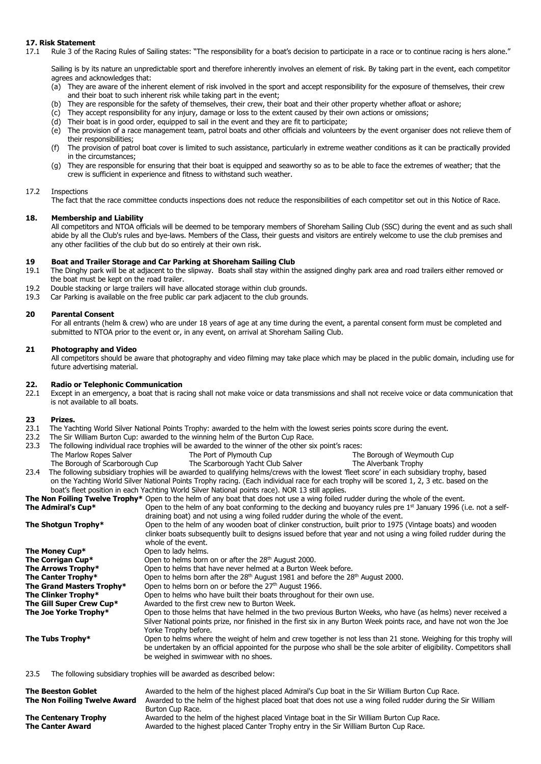#### **17. Risk Statement**

17.1 Rule 3 of the Racing Rules of Sailing states: "The responsibility for a boat's decision to participate in a race or to continue racing is hers alone."

Sailing is by its nature an unpredictable sport and therefore inherently involves an element of risk. By taking part in the event, each competitor agrees and acknowledges that:

- (a) They are aware of the inherent element of risk involved in the sport and accept responsibility for the exposure of themselves, their crew and their boat to such inherent risk while taking part in the event;
- (b) They are responsible for the safety of themselves, their crew, their boat and their other property whether afloat or ashore;
- (c) They accept responsibility for any injury, damage or loss to the extent caused by their own actions or omissions;
- (d) Their boat is in good order, equipped to sail in the event and they are fit to participate;
- (e) The provision of a race management team, patrol boats and other officials and volunteers by the event organiser does not relieve them of their responsibilities;
- (f) The provision of patrol boat cover is limited to such assistance, particularly in extreme weather conditions as it can be practically provided in the circumstances;
- (g) They are responsible for ensuring that their boat is equipped and seaworthy so as to be able to face the extremes of weather; that the crew is sufficient in experience and fitness to withstand such weather.

#### 17.2 Inspections

The fact that the race committee conducts inspections does not reduce the responsibilities of each competitor set out in this Notice of Race.

#### **18. Membership and Liability**

All competitors and NTOA officials will be deemed to be temporary members of Shoreham Sailing Club (SSC) during the event and as such shall abide by all the Club's rules and bye-laws. Members of the Class, their guests and visitors are entirely welcome to use the club premises and any other facilities of the club but do so entirely at their own risk.

#### **19 Boat and Trailer Storage and Car Parking at Shoreham Sailing Club**

- 19.1 The Dinghy park will be at adjacent to the slipway. Boats shall stay within the assigned dinghy park area and road trailers either removed or the boat must be kept on the road trailer.
- 19.2 Double stacking or large trailers will have allocated storage within club grounds.
- 19.3 Car Parking is available on the free public car park adjacent to the club grounds.

### **20 Parental Consent**

For all entrants (helm & crew) who are under 18 years of age at any time during the event, a parental consent form must be completed and submitted to NTOA prior to the event or, in any event, on arrival at Shoreham Sailing Club.

#### **21 Photography and Video**

All competitors should be aware that photography and video filming may take place which may be placed in the public domain, including use for future advertising material.

## **22. Radio or Telephonic Communication**

Except in an emergency, a boat that is racing shall not make voice or data transmissions and shall not receive voice or data communication that is not available to all boats.

#### **23 Prizes.**

- 23.1 The Yachting World Silver National Points Trophy: awarded to the helm with the lowest series points score during the event.
- 23.2 The Sir William Burton Cup: awarded to the winning helm of the Burton Cup Race.<br>23.3 The following individual race trophies will be awarded to the winner of the other six
- The following individual race trophies will be awarded to the winner of the other six point's races:<br>The Port of Plymouth Cup The Marlow Ropes Salver
	- The Marlow Ropes Salver The Port of Plymouth Cup The Borough of Weymouth Cup<br>The Borough of Scarborough Cup The Scarborough Yacht Club Salver The Alverbank Trophy The Scarborough Yacht Club Salver The Alverbank Trophy
- 23.4 The following subsidiary trophies will be awarded to qualifying helms/crews with the lowest 'fleet score' in each subsidiary trophy, based on the Yachting World Silver National Points Trophy racing. (Each individual race for each trophy will be scored 1, 2, 3 etc. based on the boat's fleet position in each Yachting World Silver National points race). NOR 13 still applies.

**The Non Foiling Twelve Trophy\*** Open to the helm of any boat that does not use a wing foiled rudder during the whole of the event.

**The Admiral's Cup\* Open to the helm of any boat conforming to the decking and buoyancy rules pre 1<sup>st</sup> January 1996 (i.e. not a self**draining boat) and not using a wing foiled rudder during the whole of the event.

| The Shotgun Trophy*       | Open to the helm of any wooden boat of clinker construction, built prior to 1975 (Vintage boats) and wooden<br>clinker boats subsequently built to designs issued before that year and not using a wing foiled rudder during the                                                     |
|---------------------------|--------------------------------------------------------------------------------------------------------------------------------------------------------------------------------------------------------------------------------------------------------------------------------------|
|                           | whole of the event.                                                                                                                                                                                                                                                                  |
| The Money Cup*            | Open to lady helms.                                                                                                                                                                                                                                                                  |
| The Corrigan Cup*         | Open to helms born on or after the 28 <sup>th</sup> August 2000.                                                                                                                                                                                                                     |
| The Arrows Trophy*        | Open to helms that have never helmed at a Burton Week before.                                                                                                                                                                                                                        |
| The Canter Trophy*        | Open to helms born after the 28 <sup>th</sup> August 1981 and before the 28 <sup>th</sup> August 2000.                                                                                                                                                                               |
| The Grand Masters Trophy* | Open to helms born on or before the 27 <sup>th</sup> August 1966.                                                                                                                                                                                                                    |
| The Clinker Trophy*       | Open to helms who have built their boats throughout for their own use.                                                                                                                                                                                                               |
| The Gill Super Crew Cup*  | Awarded to the first crew new to Burton Week.                                                                                                                                                                                                                                        |
| The Joe Yorke Trophy*     | Open to those helms that have helmed in the two previous Burton Weeks, who have (as helms) never received a<br>Silver National points prize, nor finished in the first six in any Burton Week points race, and have not won the Joe<br>Yorke Trophy before.                          |
| The Tubs Trophy*          | Open to helms where the weight of helm and crew together is not less than 21 stone. Weighing for this trophy will<br>be undertaken by an official appointed for the purpose who shall be the sole arbiter of eligibility. Competitors shall<br>be weighed in swimwear with no shoes. |
|                           |                                                                                                                                                                                                                                                                                      |

23.5 The following subsidiary trophies will be awarded as described below:

| <b>The Beeston Goblet</b><br>The Non Foiling Twelve Award | Awarded to the helm of the highest placed Admiral's Cup boat in the Sir William Burton Cup Race.<br>Awarded to the helm of the highest placed boat that does not use a wing foiled rudder during the Sir William<br>Burton Cup Race. |
|-----------------------------------------------------------|--------------------------------------------------------------------------------------------------------------------------------------------------------------------------------------------------------------------------------------|
| <b>The Centenary Trophy</b>                               | Awarded to the helm of the highest placed Vintage boat in the Sir William Burton Cup Race.                                                                                                                                           |
| <b>The Canter Award</b>                                   | Awarded to the highest placed Canter Trophy entry in the Sir William Burton Cup Race.                                                                                                                                                |